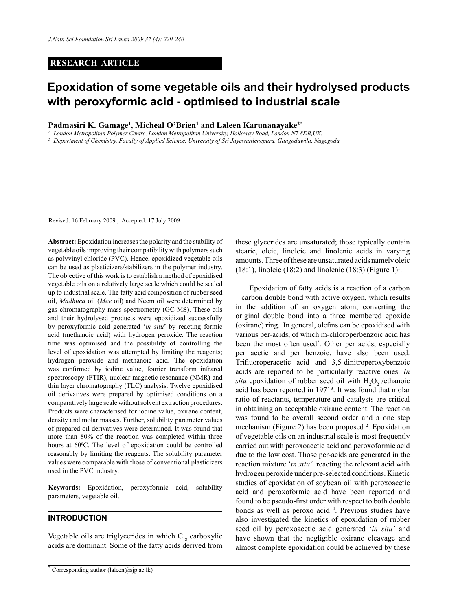#### **RESEARCH ARTICLE**

# **Epoxidation of some vegetable oils and their hydrolysed products with peroxyformic acid - optimised to industrial scale**

Padmasiri K. Gamage<sup>1</sup>, Micheal O'Brien<sup>1</sup> and Laleen Karunanayake<sup>2\*</sup>

<sup>1</sup> London Metropolitan Polymer Centre, London Metropolitan University, Holloway Road, London N7 8DB, UK.<br><sup>2</sup> Department of Chemistry, Faculty of Applied Science, University of Sri Jayewardenepura, Gangodawila, Nugegoda.

Revised: 16 February 2009 ; Accepted: 17 July 2009

**Abstract:** Epoxidation increases the polarity and the stability of vegetable oils improving their compatibility with polymers such as polyvinyl chloride (PVC). Hence, epoxidized vegetable oils can be used as plasticizers/stabilizers in the polymer industry. The objective of this work is to establish a method of epoxidised vegetable oils on a relatively large scale which could be scaled up to industrial scale. The fatty acid composition of rubber seed oil, *Madhuca* oil (*Mee* oil) and Neem oil were determined by gas chromatography-mass spectrometry (GC-MS). These oils and their hydrolysed products were epoxidized successfully by peroxyformic acid generated '*in situ*' by reacting formic acid (methanoic acid) with hydrogen peroxide. The reaction time was optimised and the possibility of controlling the level of epoxidation was attempted by limiting the reagents; hydrogen peroxide and methanoic acid. The epoxidation was confirmed by iodine value, fourier transform infrared spectroscopy (FTIR), nuclear magnetic resonance (NMR) and thin layer chromatography (TLC) analysis. Twelve epoxidised oil derivatives were prepared by optimised conditions on a comparatively large scale without solvent extraction procedures. Products were characterised for iodine value, oxirane content, density and molar masses. Further, solubility parameter values of prepared oil derivatives were determined. It was found that more than 80% of the reaction was completed within three hours at 60°C. The level of epoxidation could be controlled reasonably by limiting the reagents. The solubility parameter values were comparable with those of conventional plasticizers used in the PVC industry.

**Keywords:** Epoxidation, peroxyformic acid, solubility parameters, vegetable oil.

## **Introduction**

Vegetable oils are triglycerides in which  $C_{18}$  carboxylic acids are dominant. Some of the fatty acids derived from

these glycerides are unsaturated; those typically contain stearic, oleic, linoleic and linolenic acids in varying amounts. Three of these are unsaturated acids namely oleic  $(18:1)$ , linoleic  $(18:2)$  and linolenic  $(18:3)$  (Figure 1)<sup>1</sup>.

Epoxidation of fatty acids is a reaction of a carbon – carbon double bond with active oxygen, which results in the addition of an oxygen atom, converting the original double bond into a three membered epoxide (oxirane) ring. In general, olefins can be epoxidised with various per-acids, of which m-chloroperbenzoic acid has been the most often used<sup>2</sup>. Other per acids, especially per acetic and per benzoic, have also been used. Trifluoroperacetic acid and 3,5-dinitroperoxybenzoic acids are reported to be particularly reactive ones. *In situ* epoxidation of rubber seed oil with  $H_2O_2$  /ethanoic acid has been reported in 19713 . It was found that molar ratio of reactants, temperature and catalysts are critical in obtaining an acceptable oxirane content. The reaction was found to be overall second order and a one step mechanism (Figure 2) has been proposed <sup>2</sup>. Epoxidation of vegetable oils on an industrial scale is most frequently carried out with peroxoacetic acid and peroxoformic acid due to the low cost. Those per-acids are generated in the reaction mixture '*in situ'* reacting the relevant acid with hydrogen peroxide under pre-selected conditions. Kinetic studies of epoxidation of soybean oil with peroxoacetic acid and peroxoformic acid have been reported and found to be pseudo-first order with respect to both double bonds as well as peroxo acid <sup>4</sup>. Previous studies have also investigated the kinetics of epoxidation of rubber seed oil by peroxoacetic acid generated '*in situ'* and have shown that the negligible oxirane cleavage and almost complete epoxidation could be achieved by these

<sup>\*</sup> Corresponding author (laleen@sjp.ac.lk)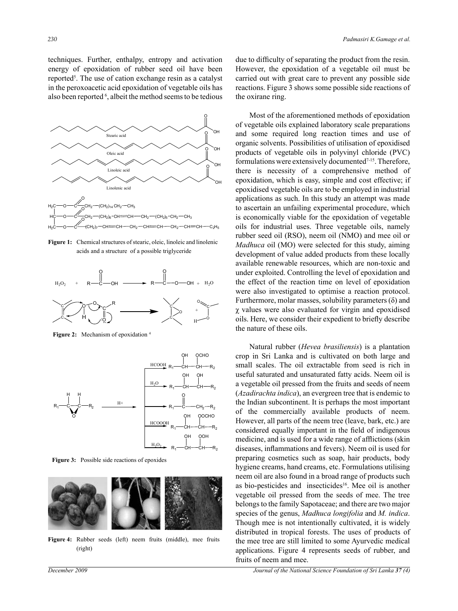techniques. Further, enthalpy, entropy and activation energy of epoxidation of rubber seed oil have been reported<sup>5</sup>. The use of cation exchange resin as a catalyst in the peroxoacetic acid epoxidation of vegetable oils has also been reported <sup>6</sup>, albeit the method seems to be tedious



acids and a structure of a possible triglyceride Figure 1: Chemical structures of stearic, oleic, linoleic and linolenic



Figure 2: Mechanism of epoxidation



**Figure 3:** Possible side reactions of epoxides



**Figure 4:** Rubber seeds (left) neem fruits (middle), mee fruits **Figure 4: Rubber seeds (left} Neem fruits (middle) Mee fruits (right)**  (right)

due to difficulty of separating the product from the resin. However, the epoxidation of a vegetable oil must be carried out with great care to prevent any possible side reactions. Figure 3 shows some possible side reactions of the oxirane ring.

Most of the aforementioned methods of epoxidation of vegetable oils explained laboratory scale preparations and some required long reaction times and use of organic solvents. Possibilities of utilisation of epoxidised products of vegetable oils in polyvinyl chloride (PVC) formulations were extensively documented<sup>7-15</sup>. Therefore, there is necessity of a comprehensive method of epoxidation, which is easy, simple and cost effective; if epoxidised vegetable oils are to be employed in industrial applications as such. In this study an attempt was made to ascertain an unfailing experimental procedure, which is economically viable for the epoxidation of vegetable oils for industrial uses. Three vegetable oils, namely rubber seed oil (RSO), neem oil (NMO) and mee oil or *Madhuca* oil (MO) were selected for this study, aiming development of value added products from these locally available renewable resources, which are non-toxic and under exploited. Controlling the level of epoxidation and the effect of the reaction time on level of epoxidation were also investigated to optimise a reaction protocol. Furthermore, molar masses, solubility parameters  $(\delta)$  and χ values were also evaluated for virgin and epoxidised oils. Here, we consider their expedient to briefly describe the nature of these oils.

Natural rubber (*Hevea brasiliensis*) is a plantation crop in Sri Lanka and is cultivated on both large and small scales. The oil extractable from seed is rich in useful saturated and unsaturated fatty acids. Neem oil is a vegetable oil pressed from the fruits and seeds of neem (*Azadirachta indica*), an evergreen tree that is endemic to the Indian subcontinent. It is perhaps the most important of the commercially available products of neem. However, all parts of the neem tree (leave, bark, etc.) are considered equally important in the field of indigenous medicine, and is used for a wide range of afflictions (skin diseases, inflammations and fevers). Neem oil is used for preparing cosmetics such as soap, hair products, body hygiene creams, hand creams, etc. Formulations utilising neem oil are also found in a broad range of products such as bio-pesticides and insecticides<sup>16</sup>. Mee oil is another vegetable oil pressed from the seeds of mee. The tree belongs to the family Sapotaceae; and there are two major species of the genus, *Madhuca longifolia* and *M. indica*. Though mee is not intentionally cultivated, it is widely distributed in tropical forests. The uses of products of the mee tree are still limited to some Ayurvedic medical applications. Figure 4 represents seeds of rubber, and fruits of neem and mee.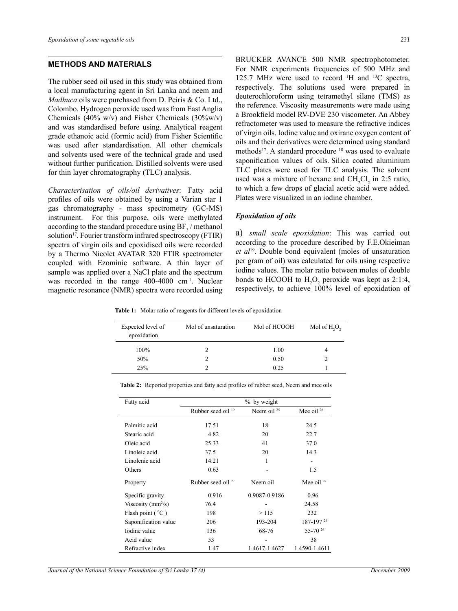# **Methods and Materials**

The rubber seed oil used in this study was obtained from a local manufacturing agent in Sri Lanka and neem and *Madhuca* oils were purchased from D. Peiris & Co. Ltd., Colombo. Hydrogen peroxide used was from East Anglia Chemicals (40% w/v) and Fisher Chemicals (30%w/v) and was standardised before using. Analytical reagent grade ethanoic acid (formic acid) from Fisher Scientific was used after standardisation. All other chemicals and solvents used were of the technical grade and used without further purification. Distilled solvents were used for thin layer chromatography (TLC) analysis.

*Characterisation of oils/oil derivatives*: Fatty acid profiles of oils were obtained by using a Varian star 1 gas chromatography - mass spectrometry (GC-MS) instrument. For this purpose, oils were methylated according to the standard procedure using  $\rm BF_{3}$  / methanol solution<sup>17</sup>. Fourier transform infrared spectroscopy (FTIR) spectra of virgin oils and epoxidised oils were recorded by a Thermo Nicolet AVATAR 320 FTIR spectrometer coupled with Ezominic software. A thin layer of sample was applied over a NaCl plate and the spectrum was recorded in the range 400-4000 cm<sup>-1</sup>. Nuclear magnetic resonance (NMR) spectra were recorded using

BRUCKER AVANCE 500 NMR spectrophotometer. For NMR experiments frequencies of 500 MHz and 125.7 MHz were used to record  $\rm{^1H}$  and  $\rm{^{13}C}$  spectra, respectively. The solutions used were prepared in deuterochloroform using tetramethyl silane (TMS) as the reference. Viscosity measurements were made using a Brookfield model RV-DVE 230 viscometer. An Abbey refractometer was used to measure the refractive indices of virgin oils. Iodine value and oxirane oxygen content of oils and their derivatives were determined using standard methods<sup>17</sup>. A standard procedure <sup>18</sup> was used to evaluate saponification values of oils. Silica coated aluminium TLC plates were used for TLC analysis. The solvent used was a mixture of hexane and  $CH_2Cl_2$  in 2:5 ratio, to which a few drops of glacial acetic acid were added. Plates were visualized in an iodine chamber.

#### *Epoxidation of oils*

a) *small scale epoxidation*: This was carried out according to the procedure described by F.E.Okieiman *et al*19. Double bond equivalent (moles of unsaturation per gram of oil) was calculated for oils using respective iodine values. The molar ratio between moles of double bonds to HCOOH to  $H_2O_2$  peroxide was kept as 2:1:4, respectively, to achieve 100% level of epoxidation of

**Table 1:** Molar ratio of reagents for different levels of epoxidation

| Expected level of<br>epoxidation | Mol of unsaturation | Mol of HCOOH | Mol of $H2O2$ |
|----------------------------------|---------------------|--------------|---------------|
| $100\%$                          |                     | 1.00         |               |
| 50%                              |                     | 0.50         |               |
| 25%                              |                     | 0.25         |               |

| Fatty acid                  |                               | % by weight      |                       |
|-----------------------------|-------------------------------|------------------|-----------------------|
|                             | Rubber seed oil <sup>19</sup> | Neem oil $^{25}$ | Mee oil <sup>26</sup> |
| Palmitic acid               | 17.51                         | 18               | 24.5                  |
| Stearic acid                | 4.82                          | 20               | 22.7                  |
| Oleic acid                  | 25.33                         | 41               | 37.0                  |
| Linoleic acid               | 37.5                          | 20               | 14.3                  |
| Linolenic acid              | 14.21                         | 1                |                       |
| Others                      | 0.63                          |                  | 1.5                   |
| Property                    | Rubber seed oil $27$          | Neem oil         | Mee oil $^{28}$       |
| Specific gravity            | 0.916                         | 0.9087-0.9186    | 0.96                  |
| Viscosity ( $mm^2/s$ )      | 76.4                          |                  | 24.58                 |
| Flash point ( $^{\circ}$ C) | 198                           | >115             | 232                   |
| Saponification value        | 206                           | 193-204          | 187-19726             |
| Iodine value                | 136                           | 68-76            | $55-70^{26}$          |
| Acid value                  | 53                            |                  | 38                    |
| Refractive index            | 1.47                          | 1.4617-1.4627    | 1.4590-1.4611         |

**Table 2:** Reported properties and fatty acid profiles of rubber seed, Neem and mee oils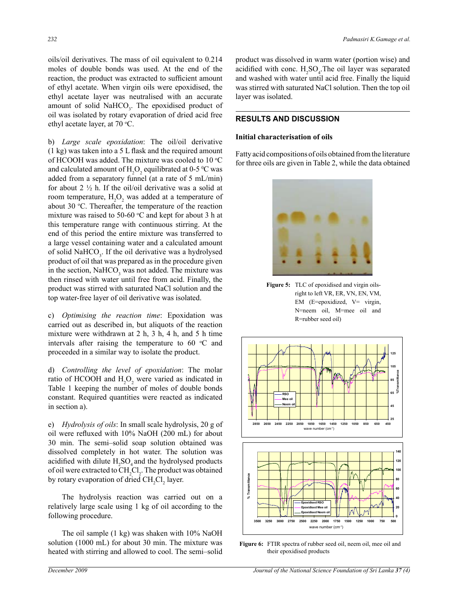oils/oil derivatives. The mass of oil equivalent to 0.214 moles of double bonds was used. At the end of the reaction, the product was extracted to sufficient amount of ethyl acetate. When virgin oils were epoxidised, the ethyl acetate layer was neutralised with an accurate amount of solid  $NAHCO<sub>3</sub>$ . The epoxidised product of oil was isolated by rotary evaporation of dried acid free ethyl acetate layer, at 70 °C.

b) *Large scale epoxidation*: The oil/oil derivative (1 kg) was taken into a 5 L flask and the required amount of HCOOH was added. The mixture was cooled to  $10 °C$ and calculated amount of  $H_2O_2$  equilibrated at 0-5 °C was added from a separatory funnel (at a rate of 5 mL/min) for about  $2 \frac{1}{2}$  h. If the oil/oil derivative was a solid at room temperature,  $H_2O_2$  was added at a temperature of about 30 °C. Thereafter, the temperature of the reaction mixture was raised to 50-60  $\degree$ C and kept for about 3 h at this temperature range with continuous stirring. At the end of this period the entire mixture was transferred to a large vessel containing water and a calculated amount of solid NaHCO<sub>3</sub>. If the oil derivative was a hydrolysed product of oil that was prepared as in the procedure given in the section,  $\text{NaHCO}_3$  was not added. The mixture was then rinsed with water until free from acid. Finally, the product was stirred with saturated NaCl solution and the top water-free layer of oil derivative was isolated.

c) *Optimising the reaction time*: Epoxidation was carried out as described in, but aliquots of the reaction mixture were withdrawn at 2 h, 3 h, 4 h, and 5 h time intervals after raising the temperature to  $60 °C$  and proceeded in a similar way to isolate the product.

d) *Controlling the level of epoxidation*: The molar ratio of HCOOH and  $H_2O_2$  were varied as indicated in Table 1 keeping the number of moles of double bonds constant. Required quantities were reacted as indicated in section a).

e) *Hydrolysis of oils*: In small scale hydrolysis, 20 g of oil were refluxed with 10% NaOH (200 mL) for about 30 min. The semi–solid soap solution obtained was dissolved completely in hot water. The solution was acidified with dilute  $H_2SO_4$  and the hydrolysed products of oil were extracted to  $\text{CH}_{2}\text{Cl}_{2}$ . The product was obtained by rotary evaporation of dried  $CH_2Cl_2$  layer.

The hydrolysis reaction was carried out on a relatively large scale using 1 kg of oil according to the following procedure.

The oil sample (1 kg) was shaken with 10% NaOH solution (1000 mL) for about 30 min. The mixture was heated with stirring and allowed to cool. The semi–solid product was dissolved in warm water (portion wise) and acidified with conc.  $H_2SO_4$ . The oil layer was separated and washed with water until acid free. Finally the liquid was stirred with saturated NaCl solution. Then the top oil layer was isolated.

# **Results and Discussion**

#### **Initial characterisation of oils**

Fatty acid compositions of oils obtained from the literature for three oils are given in Table 2, while the data obtained



right to left VR, ER, VN, EN, VM, **Figure 5:** TLC of epoxidised and virgin oils-EM (E=epoxidized, V= virgin, N=neem oil, M=mee oil and R=rubber seed oil)



**Figure 6:** FTIR spectra of rubber seed oil, neem oil, mee oil and their epoxidised products.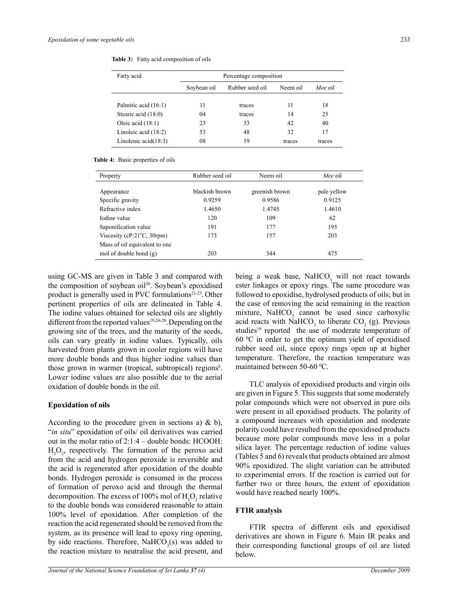| Fatty acid             | Percentage composition |          |         |        |  |
|------------------------|------------------------|----------|---------|--------|--|
|                        | Soybean oil            | Neem oil | Mee oil |        |  |
| Palmitic acid (16:1)   | 11                     | traces   | 11      | 18     |  |
| Stearic acid (18:0)    | 04                     | traces   | 14      | 25     |  |
| Oleic acid $(18.1)$    | 23                     | 33       | 42      | 40     |  |
| Linoleic acid $(18:2)$ | 53                     | 48       | 32      | 17     |  |
| Linolenic $acid(18:3)$ | 08                     | 19       | traces  | traces |  |

**Table 3:** Fatty acid composition of oils

#### **Table 4:** Basic properties of oils

| Property                              | Rubber seed oil | Neem oil       | Mee oil     |
|---------------------------------------|-----------------|----------------|-------------|
| Appearance                            | blackish brown  | greenish brown | pale yellow |
| Specific gravity                      | 0.9259          | 0.9586         | 0.9125      |
| Refractive index                      | 1.4650          | 1.4745         | 1.4610      |
| Iodine value                          | 120             | 109            | 62          |
| Saponification value                  | 191             | 177            | 195         |
| Viscosity (cP: $21^{\circ}$ C, 30rpm) | 173             | 157            | 203         |
| Mass of oil equivalent to one         |                 |                |             |
| mol of double bond $(g)$              | 203             | 344            | 475         |

using GC-MS are given in Table 3 and compared with the composition of soybean oil<sup>20</sup>. Soybean's epoxidised product is generally used in PVC formulations<sup>21-23</sup>. Other pertinent properties of oils are delineated in Table 4. The iodine values obtained for selected oils are slightly different from the reported values<sup>19,24-28</sup>. Depending on the growing site of the trees, and the maturity of the seeds, oils can vary greatly in iodine values. Typically, oils harvested from plants grown in cooler regions will have more double bonds and thus higher iodine values than those grown in warmer (tropical, subtropical) regions<sup>8</sup>. Lower iodine values are also possible due to the aerial oxidation of double bonds in the oil.

#### **Epoxidation of oils**

According to the procedure given in sections a)  $\&$  b), "*in situ*" epoxidation of oils/ oil derivatives was carried out in the molar ratio of 2:1:4 – double bonds: HCOOH:  $H_2O_2$ , respectively. The formation of the peroxo acid from the acid and hydrogen peroxide is reversible and the acid is regenerated after epoxidation of the double bonds. Hydrogen peroxide is consumed in the process of formation of peroxo acid and through the thermal decomposition. The excess of 100% mol of  $H_2O_2$  relative to the double bonds was considered reasonable to attain 100% level of epoxidation. After completion of the reaction the acid regenerated should be removed from the system, as its presence will lead to epoxy ring opening, by side reactions. Therefore,  $\text{NaHCO}_3(\text{s})$  was added to the reaction mixture to neutralise the acid present, and

being a weak base, NaHCO<sub>3</sub> will not react towards ester linkages or epoxy rings. The same procedure was followed to epoxidise, hydrolysed products of oils; but in the case of removing the acid remaining in the reaction  $mixture$ , NaHCO<sub>3</sub> cannot be used since carboxylic acid reacts with NaHCO<sub>3</sub> to liberate  $CO<sub>2</sub>$  (g). Previous studies<sup>19</sup> reported the use of moderate temperature of  $60 °C$  in order to get the optimum yield of epoxidised rubber seed oil, since epoxy rings open up at higher temperature. Therefore, the reaction temperature was maintained between 50-60 °C.

TLC analysis of epoxidised products and virgin oils are given in Figure 5. This suggests that some moderately polar compounds which were not observed in pure oils were present in all epoxidised products. The polarity of a compound increases with epoxidation and moderate polarity could have resulted from the epoxidised products because more polar compounds move less in a polar silica layer. The percentage reduction of iodine values (Tables 5 and 6) reveals that products obtained are almost 90% epoxidized. The slight variation can be attributed to experimental errors. If the reaction is carried out for further two or three hours, the extent of epoxidation would have reached nearly 100%.

#### **FTIR analysis**

FTIR spectra of different oils and epoxidised derivatives are shown in Figure 6. Main IR peaks and their corresponding functional groups of oil are listed below.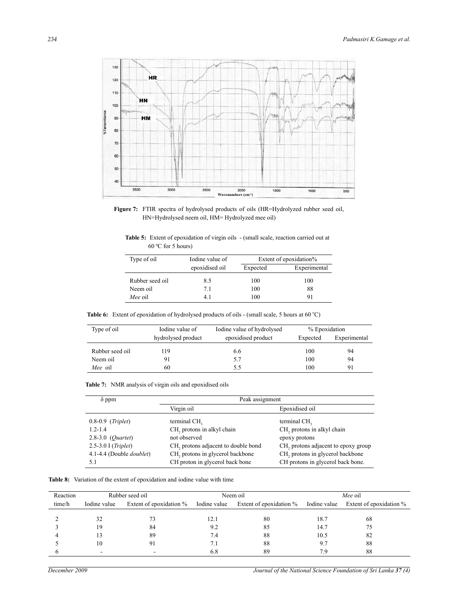

**Figure 7:** FTIR spectra of hydrolysed products of oils (HR=Hydrolyzed rubber seed oil, HN=Hydrolysed neem oil, HM= Hydrolyzed mee oil)

| <b>Table 5:</b> Extent of epoxidation of virgin oils - (small scale, reaction carried out at |  |  |
|----------------------------------------------------------------------------------------------|--|--|
| $60^{\circ}$ C for 5 hours)                                                                  |  |  |

| Type of oil     | Iodine value of |          | Extent of epoxidation% |
|-----------------|-----------------|----------|------------------------|
|                 | epoxidised oil  | Expected | Experimental           |
| Rubber seed oil | 8.5             | 100      | 100                    |
| Neem oil        | 7.1             | 100      | 88                     |
| Mee oil         | 41              | 100      | 91                     |

Table 6: Extent of epoxidation of hydrolysed products of oils - (small scale, 5 hours at 60 °C)

| Type of oil     | Iodine value of    | Iodine value of hydrolysed | % Epoxidation |              |
|-----------------|--------------------|----------------------------|---------------|--------------|
|                 | hydrolysed product | epoxidised product         | Expected      | Experimental |
| Rubber seed oil | 119                | 6.6                        | 100           | 94           |
| Neem oil        | 91                 | 5.7                        | 100           | 94           |
| Mee oil         | 60                 | 5.5                        | 100           | 91           |

| <b>Table 7:</b> NMR analysis of virgin oils and epoxidised oils |  |  |  |
|-----------------------------------------------------------------|--|--|--|
|-----------------------------------------------------------------|--|--|--|

| $\delta$ ppm                     | Peak assignment                                 |                                                 |  |  |
|----------------------------------|-------------------------------------------------|-------------------------------------------------|--|--|
|                                  | Virgin oil                                      | Epoxidised oil                                  |  |  |
| $0.8-0.9$ (Triplet)              | terminal CH <sub>2</sub>                        | terminal CH <sub>2</sub>                        |  |  |
| $1.2 - 1.4$                      | CH <sub>2</sub> protons in alkyl chain          | CH, protons in alkyl chain                      |  |  |
| $2.8 - 3.0$ ( <i>Quartet</i> )   | not observed                                    | epoxy protons                                   |  |  |
| $2.5 - 3.0$ I ( <i>Triplet</i> ) | CH <sub>2</sub> protons adjacent to double bond | CH <sub>2</sub> protons adjacent to epoxy group |  |  |
| 4.1-4.4 (Double <i>doublet</i> ) | CH <sub>2</sub> protons in glycerol backbone    | CH <sub>2</sub> protons in glycerol backbone    |  |  |
| 5.1                              | CH proton in glycerol back bone                 | CH protons in glycerol back bone.               |  |  |

**Table 8:** Variation of the extent of epoxidation and iodine value with time

| Reaction |              | Rubber seed oil |        | Neem oil                                                                  |      | Mee oil                 |
|----------|--------------|-----------------|--------|---------------------------------------------------------------------------|------|-------------------------|
| time/h   | Iodine value |                 |        | Extent of epoxidation % Iodine value Extent of epoxidation % Iodine value |      | Extent of epoxidation % |
|          |              |                 |        |                                                                           |      |                         |
|          | 32           |                 | l 2. I | 80                                                                        | 18.7 | 68                      |
|          | 19           | 84              | 9.2    | 85                                                                        | 14.7 | 75                      |
|          | 13           | 89              | 7.4    | 88                                                                        | 10.5 | 82                      |
|          | 10           |                 | 7.1    | 88                                                                        | 9.7  | 88                      |
|          |              |                 | 6.8    | 89                                                                        | 7 Q  | 88                      |

 $\overline{a}$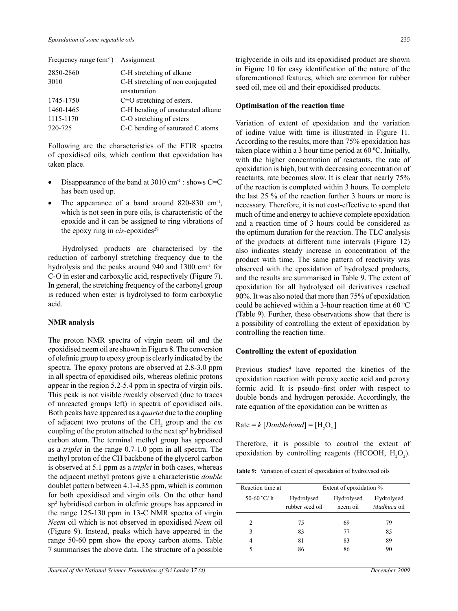| 2850-2860 | C-H stretching of alkane          |
|-----------|-----------------------------------|
| 3010      | C-H stretching of non conjugated  |
|           | unsaturation                      |
| 1745-1750 | $C=O$ stretching of esters.       |
| 1460-1465 | C-H bending of unsaturated alkane |
| 1115-1170 | C-O stretching of esters          |
| 720-725   | C-C bending of saturated C atoms  |

Frequency range (cm<sup>-1</sup>) Assignment

Following are the characteristics of the FTIR spectra of epoxidised oils, which confirm that epoxidation has taken place.

- Disappearance of the band at  $3010 \text{ cm}^{-1}$ : shows C=C has been used up.
- The appearance of a band around  $820-830$  cm<sup>-1</sup>, which is not seen in pure oils, is characteristic of the epoxide and it can be assigned to ring vibrations of the epoxy ring in  $cis$ -epoxides<sup>29</sup>

Hydrolysed products are characterised by the reduction of carbonyl stretching frequency due to the hydrolysis and the peaks around 940 and 1300 cm<sup>-1</sup> for C-O in ester and carboxylic acid, respectively (Figure 7). In general, the stretching frequency of the carbonyl group is reduced when ester is hydrolysed to form carboxylic acid.

# **NMR analysis**

The proton NMR spectra of virgin neem oil and the epoxidised neem oil are shown in Figure 8. The conversion of olefinic group to epoxy group is clearly indicated by the spectra. The epoxy protons are observed at 2.8-3.0 ppm in all spectra of epoxidised oils, whereas olefinic protons appear in the region 5.2-5.4 ppm in spectra of virgin oils. This peak is not visible /weakly observed (due to traces of unreacted groups left) in spectra of epoxidised oils. Both peaks have appeared as a *quartet* due to the coupling of adjacent two protons of the CH<sub>2</sub> group and the *cis* coupling of the proton attached to the next  $sp^2$  hybridised carbon atom. The terminal methyl group has appeared as a *triplet* in the range 0.7-1.0 ppm in all spectra. The methyl proton of the CH backbone of the glycerol carbon is observed at 5.1 ppm as a *triplet* in both cases, whereas the adjacent methyl protons give a characteristic *double*  doublet pattern between 4.1-4.35 ppm, which is common for both epoxidised and virgin oils. On the other hand sp2 hybridised carbon in olefinic groups has appeared in the range 125-130 ppm in 13-C NMR spectra of virgin *Neem* oil which is not observed in epoxidised *Neem* oil (Figure 9). Instead, peaks which have appeared in the range 50-60 ppm show the epoxy carbon atoms. Table 7 summarises the above data. The structure of a possible

triglyceride in oils and its epoxidised product are shown in Figure 10 for easy identification of the nature of the aforementioned features, which are common for rubber seed oil, mee oil and their epoxidised products.

## **Optimisation of the reaction time**

Variation of extent of epoxidation and the variation of iodine value with time is illustrated in Figure 11. According to the results, more than 75% epoxidation has taken place within a 3 hour time period at  $60^{\circ}$ C. Initially, with the higher concentration of reactants, the rate of epoxidation is high, but with decreasing concentration of reactants, rate becomes slow. It is clear that nearly 75% of the reaction is completed within 3 hours. To complete the last 25 % of the reaction further 3 hours or more is necessary. Therefore, it is not cost-effective to spend that much of time and energy to achieve complete epoxidation and a reaction time of 3 hours could be considered as the optimum duration for the reaction. The TLC analysis of the products at different time intervals (Figure 12) also indicates steady increase in concentration of the product with time. The same pattern of reactivity was observed with the epoxidation of hydrolysed products, and the results are summarised in Table 9. The extent of epoxidation for all hydrolysed oil derivatives reached 90%. It was also noted that more than 75% of epoxidation could be achieved within a 3-hour reaction time at 60  $\mathrm{^0C}$ (Table 9). Further, these observations show that there is a possibility of controlling the extent of epoxidation by controlling the reaction time.

#### **Controlling the extent of epoxidation**

Previous studies<sup>4</sup> have reported the kinetics of the epoxidation reaction with peroxy acetic acid and peroxy formic acid. It is pseudo–first order with respect to double bonds and hydrogen peroxide. Accordingly, the rate equation of the epoxidation can be written as

 $Rate = k[Doublebond] = [H<sub>2</sub>O<sub>2</sub>]$ 

Therefore, it is possible to control the extent of epoxidation by controlling reagents (HCOOH,  $H_2O_2$ ).

**Table 9:** Variation of extent of epoxidation of hydrolysed oils

| Reaction time at    | Extent of epoxidation %       |                        |                                  |  |
|---------------------|-------------------------------|------------------------|----------------------------------|--|
| 50-60 $\degree$ C/h | Hydrolysed<br>rubber seed oil | Hydrolysed<br>neem oil | Hydrolysed<br><i>Madhuca</i> oil |  |
| $\mathfrak{D}$      | 75                            | 69                     | 79                               |  |
| 3                   | 83                            | 77                     | 85                               |  |
| 4                   | 81                            | 83                     | 89                               |  |
| 5                   | 86                            | 86                     | 90                               |  |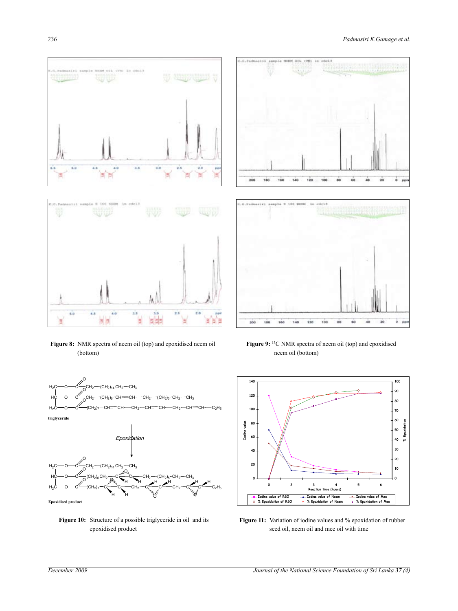



**Figure 8:** NMR spectra of neem oil (top) and epoxidised neem oil (bottom)



**Figure 10:** Structure of a possible triglyceride in oil and its epoxidised product





**Figure 9:** <sup>13</sup>C NMR spectra of neem oil (top) and epoxidised neem oil (bottom)



**Figure 11:** Variation of iodine values and % epoxidation of rubber seed oil, neem oil and mee oil with time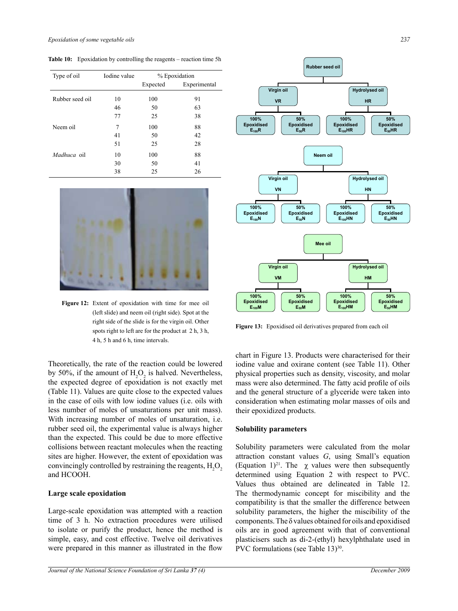Table 10: Epoxidation by controlling the reagents – reaction time 5h

| Type of oil     | Iodine value | % Epoxidation |              |  |
|-----------------|--------------|---------------|--------------|--|
|                 |              | Expected      | Experimental |  |
| Rubber seed oil | 10           | 100           | 91           |  |
|                 | 46           | 50            | 63           |  |
|                 | 77           | 25            | 38           |  |
| Neem oil        | 7            | 100           | 88           |  |
|                 | 41           | 50            | 42           |  |
|                 | 51           | 25            | 28           |  |
| Madhuca oil     | 10           | 100           | 88           |  |
|                 | 30           | 50            | 41           |  |
|                 | 38           | 25            | 26           |  |



4 h, 5 h and 6 h, time intervals. **Figure 12:** Extent of epoxidation with time for mee oil left slide) and neem oil (right side). Spot at the right side of the slide is for the virgin oil. Other spots right to left are for the product at 2 h, 3 h,

Theoretically, the rate of the reaction could be lowered by 50%, if the amount of  $H_2O_2$  is halved. Nevertheless, the expected degree of epoxidation is not exactly met (Table 11). Values are quite close to the expected values in the case of oils with low iodine values (i.e. oils with less number of moles of unsaturations per unit mass). With increasing number of moles of unsaturation, i.e. rubber seed oil, the experimental value is always higher than the expected. This could be due to more effective collisions between reactant molecules when the reacting sites are higher. However, the extent of epoxidation was convincingly controlled by restraining the reagents,  $H_2O_2$ and HCOOH.

#### **Large scale epoxidation**

Large-scale epoxidation was attempted with a reaction time of 3 h. No extraction procedures were utilised to isolate or purify the product, hence the method is simple, easy, and cost effective. Twelve oil derivatives were prepared in this manner as illustrated in the flow



Figure 13: Epoxidised oil derivatives prepared from each oil

iodine value and oxirane content (see Table 11). Other chart in Figure 13. Products were characterised for their physical properties such as density, viscosity, and molar mass were also determined. The fatty acid profile of oils and the general structure of a glyceride were taken into consideration when estimating molar masses of oils and their epoxidized products.

#### **Solubility parameters**

Solubility parameters were calculated from the molar attraction constant values *G*, using Small's equation (Equation 1)<sup>21</sup>. The  $\chi$  values were then subsequently determined using Equation 2 with respect to PVC. Values thus obtained are delineated in Table 12. The thermodynamic concept for miscibility and the compatibility is that the smaller the difference between solubility parameters, the higher the miscibility of the components. The  $\delta$  values obtained for oils and epoxidised oils are in good agreement with that of conventional plasticisers such as di-2-(ethyl) hexylphthalate used in PVC formulations (see Table  $13)$ <sup>30</sup>.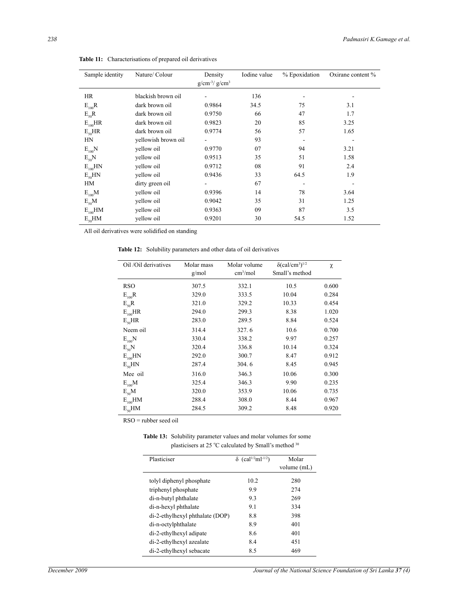| Sample identity | Nature/ Colour      | Density<br>$g/cm^{-3}/g/cm^{3}$ | Iodine value | % Epoxidation | Oxirane content % |
|-----------------|---------------------|---------------------------------|--------------|---------------|-------------------|
| HR              | blackish brown oil  |                                 | 136          |               |                   |
| $E_{100}R$      | dark brown oil      | 0.9864                          | 34.5         | 75            | 3.1               |
| $E_{50}R$       | dark brown oil      | 0.9750                          | 66           | 47            | 1.7               |
| $E_{100}HR$     | dark brown oil      | 0.9823                          | 20           | 85            | 3.25              |
| $E_{50}HR$      | dark brown oil      | 0.9774                          | 56           | 57            | 1.65              |
| HN              | yellowish brown oil |                                 | 93           |               |                   |
| $E_{100}N$      | yellow oil          | 0.9770                          | 07           | 94            | 3.21              |
| $E_{50}N$       | yellow oil          | 0.9513                          | 35           | 51            | 1.58              |
| $E_{100}$ HN    | yellow oil          | 0.9712                          | 08           | 91            | 2.4               |
| $E_{50}$ HN     | yellow oil          | 0.9436                          | 33           | 64.5          | 1.9               |
| HM              | dirty green oil     |                                 | 67           |               |                   |
| $E_{100}$ M     | yellow oil          | 0.9396                          | 14           | 78            | 3.64              |
| $E_{50}M$       | yellow oil          | 0.9042                          | 35           | 31            | 1.25              |
| $E_{100}$ HM    | yellow oil          | 0.9363                          | 09           | 87            | 3.5               |
| $E_{50}HM$      | vellow oil          | 0.9201                          | 30           | 54.5          | 1.52              |

**Table 11:** Characterisations of prepared oil derivatives

All oil derivatives were solidified on standing

**Table 12:** Solubility parameters and other data of oil derivatives

| Oil /Oil derivatives | Molar mass<br>g/mol | Molar volume<br>cm <sup>3</sup> /mol | $\delta$ (cal/cm <sup>3</sup> ) <sup>1/2</sup><br>Small's method | χ     |
|----------------------|---------------------|--------------------------------------|------------------------------------------------------------------|-------|
| <b>RSO</b>           | 307.5               | 332.1                                | 10.5                                                             | 0.600 |
| $E_{100}R$           | 329.0               | 333.5                                | 10.04                                                            | 0.284 |
| $E_{50}R$            | 321.0               | 329.2                                | 10.33                                                            | 0.454 |
| $E_{100}HR$          | 294.0               | 299.3                                | 8.38                                                             | 1.020 |
| $E_{50}HR$           | 283.0               | 289.5                                | 8.84                                                             | 0.524 |
| Neem oil             | 314.4               | 327.6                                | 10.6                                                             | 0.700 |
| $E_{100}N$           | 330.4               | 338.2                                | 9.97                                                             | 0.257 |
| $E_{50}N$            | 320.4               | 336.8                                | 10.14                                                            | 0.324 |
| $E_{100}$ HN         | 292.0               | 300.7                                | 8.47                                                             | 0.912 |
| $E_{50}$ HN          | 287.4               | 304.6                                | 8.45                                                             | 0.945 |
| Mee oil              | 316.0               | 346.3                                | 10.06                                                            | 0.300 |
| $E_{100}$ M          | 325.4               | 346.3                                | 9.90                                                             | 0.235 |
| $E_{50}M$            | 320.0               | 353.9                                | 10.06                                                            | 0.735 |
| $E_{100}$ HM         | 288.4               | 308.0                                | 8.44                                                             | 0.967 |
| $E_{50}HM$           | 284.5               | 309.2                                | 8.48                                                             | 0.920 |

RSO = rubber seed oil

 $\overline{a}$ 

**Table 13:** Solubility parameter values and molar volumes for some plasticisers at 25 °C calculated by Small's method 30

| Plasticiser                     | $δ$ (cal <sup>1/2</sup> ml <sup>-1/2</sup> ) | Molar<br>volume (mL) |
|---------------------------------|----------------------------------------------|----------------------|
| tolyl diphenyl phosphate        | 10.2                                         | 280                  |
| triphenyl phosphate             | 9.9                                          | 274                  |
| di-n-butyl phthalate            | 9.3                                          | 269                  |
| di-n-hexyl phthalate            | 9.1                                          | 334                  |
| di-2-ethylhexyl phthalate (DOP) | 8.8                                          | 398                  |
| di-n-octylphthalate             | 8.9                                          | 401                  |
| di-2-ethylhexyl adipate         | 8.6                                          | 401                  |
| di-2-ethylhexyl azealate        | 8.4                                          | 451                  |
| di-2-ethylhexyl sebacate        | 8.5                                          | 469                  |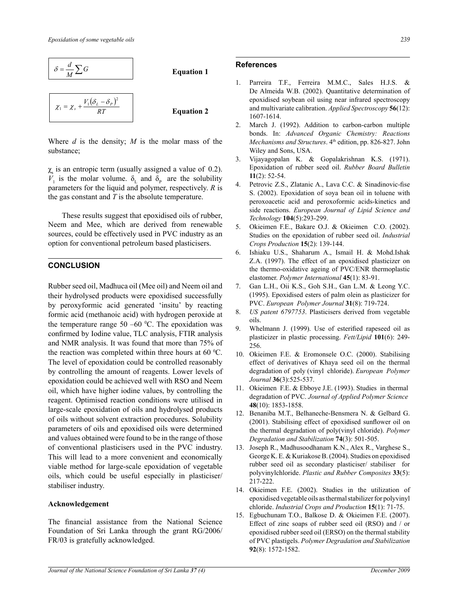

Where *d* is the density; *M* is the molar mass of the substance;

 $\chi$ <sub>s</sub> is an entropic term (usually assigned a value of 0.2).  $V_1$  is the molar volume.  $\delta$ <sub>L</sub> and  $\delta$ <sub>P</sub> are the solubility parameters for the liquid and polymer, respectively. *R* is the gas constant and *T* is the absolute temperature.

These results suggest that epoxidised oils of rubber, Neem and Mee, which are derived from renewable sources, could be effectively used in PVC industry as an option for conventional petroleum based plasticisers.

# **Conclusion**

Rubber seed oil, Madhuca oil (Mee oil) and Neem oil and their hydrolysed products were epoxidised successfully by peroxyformic acid generated 'insitu' by reacting formic acid (methanoic acid) with hydrogen peroxide at the temperature range  $50 -60$  °C. The epoxidation was confirmed by Iodine value, TLC analysis, FTIR analysis and NMR analysis. It was found that more than 75% of the reaction was completed within three hours at 60  $^{\circ}$ C. The level of epoxidation could be controlled reasonably by controlling the amount of reagents. Lower levels of epoxidation could be achieved well with RSO and Neem oil, which have higher iodine values, by controlling the reagent. Optimised reaction conditions were utilised in large-scale epoxidation of oils and hydrolysed products of oils without solvent extraction procedures. Solubility parameters of oils and epoxidised oils were determined and values obtained were found to be in the range of those of conventional plasticisers used in the PVC industry. This will lead to a more convenient and economically viable method for large-scale epoxidation of vegetable oils, which could be useful especially in plasticiser/ stabiliser industry.

#### **Acknowledgement**

The financial assistance from the National Science Foundation of Sri Lanka through the grant RG/2006/ FR/03 is gratefully acknowledged.

## 2 **References**

- 1. Parreira T.F., Ferreira M.M.C., Sales H.J.S. & De Almeida W.B. (2002). Quantitative determination of epoxidised soybean oil using near infrared spectroscopy and multivariate calibration. *Applied Spectroscopy* **56**(12): 1607-1614.
- 2. March J. (1992). Addition to carbon-carbon multiple bonds. In: *Advanced Organic Chemistry: Reactions Mechanisms and Structures*. 4<sup>th</sup> edition, pp. 826-827. John Wiley and Sons, USA.
- 3. Vijayagopalan K. & Gopalakrishnan K.S. (1971). Epoxidation of rubber seed oil. *Rubber Board Bulletin*  **11**(2): 52-54.
- 4. Petrovic Z.S., Zlatanic A., Lava C.C. & Sinadinovic-fise S. (2002). Epoxidation of soya bean oil in toluene with peroxoacetic acid and peroxoformic acids-kinetics and side reactions. *European Journal of Lipid Science and Technology* **104**(5):293-299.
- 5. Okieimen F.E., Bakare O.J. & Okieimen C.O. (2002). Studies on the epoxidation of rubber seed oil. *Industrial Crops Production* **15**(2): 139-144.
- 6. Ishiaku U.S., Shaharum A., Ismail H. & Mohd.Ishak Z.A. (1997). The effect of an epoxidised plasticizer on the thermo-oxidative ageing of PVC/ENR thermoplastic elastomer. *Polymer International* **45**(1): 83-91.
- 7. Gan L.H., Oii K.S., Goh S.H., Gan L.M. & Leong Y.C. (1995). Epoxidised esters of palm olein as plasticizer for PVC. *European Polymer Journal* **31**(8): 719-724.
- 8. *US patent 6797753*. Plasticisers derived from vegetable oils.
- 9. Whelmann J. (1999). Use of esterified rapeseed oil as plasticizer in plastic processing. *Fett/Lipid* **101**(6): 249- 256.
- 10. Okieimen F.E. & Eromonsele O.C. (2000). Stabilising effect of derivatives of Khaya seed oil on the thermal degradation of poly (vinyl chloride). *European Polymer Journal* **36**(3):525-537.
- 11. Okieimen F.E. & Ebboye J.E. (1993). Studies in thermal degradation of PVC. *Journal of Applied Polymer Science* **48**(10): 1853-1858.
- 12. Benaniba M.T., Belhaneche-Bensmera N. & Gelbard G. (2001). Stabilising effect of epoxidised sunflower oil on the thermal degradation of poly(vinyl chloride). *Polymer Degradation and Stabilization* **74**(3): 501-505.
- 13. Joseph R., Madhusoodhanam K.N., Alex R., Varghese S., George K. E. & Kuriakose B. (2004). Studies on epoxidised rubber seed oil as secondary plasticiser/ stabiliser for polyvinylchloride. *Plastic and Rubber Composites* **33**(5): 217-222.
- 14. Okieimen F.E. (2002). Studies in the utilization of epoxidised vegetable oils as thermal stabilizer for polyvinyl chloride. *Industrial Crops and Production* **15**(1): 71-75.
- 15. Egbuchunam T.O., Balkose D. & Okieimen F.E. (2007). Effect of zinc soaps of rubber seed oil (RSO) and / or epoxidised rubber seed oil (ERSO) on the thermal stability of PVC plastigels. *Polymer Degradation and Stabilization* **92**(8): 1572-1582.